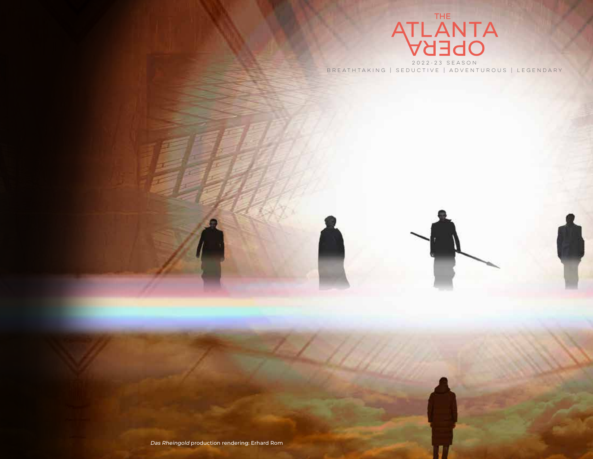

2022-23 SEASON BREATHTAKING | SEDUCTIVE | ADVENTUROUS | LEGENDARY